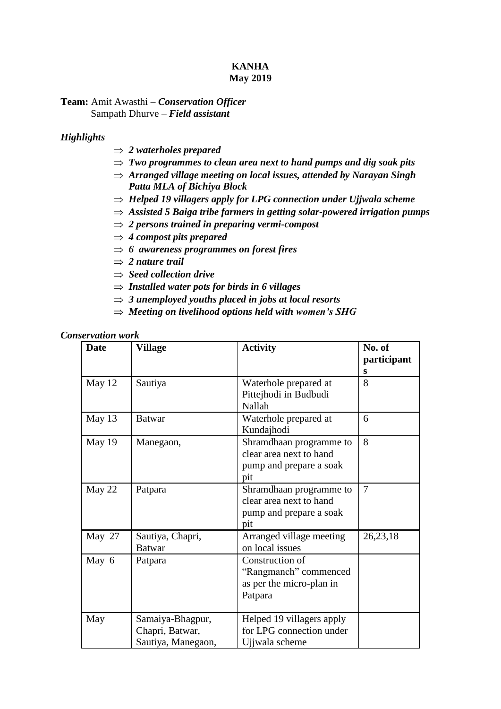# **KANHA May 2019**

**Team:** Amit Awasthi **–** *Conservation Officer* Sampath Dhurve – *Field assistant*

### *Highlights*

- *2 waterholes prepared*
- *Two programmes to clean area next to hand pumps and dig soak pits*
- *Arranged village meeting on local issues, attended by Narayan Singh Patta MLA of Bichiya Block*
- $\Rightarrow$  *Helped 19 villagers apply for LPG connection under Ujjwala scheme*
- *Assisted 5 Baiga tribe farmers in getting solar-powered irrigation pumps*
- *2 persons trained in preparing vermi-compost*
- $\Rightarrow$  4 *compost pits prepared*
- $\Rightarrow$  6 awareness programmes on forest fires
- $\Rightarrow$  2 nature trail
- *Seed collection drive*
- *Installed water pots for birds in 6 villages*
- $\Rightarrow$  3 *unemployed youths placed in jobs at local resorts*
- *Meeting on livelihood options held with women's SHG*

#### *Conservation work*

| <b>Date</b> | Village<br><b>Activity</b>                                |                                                                                           |            |  |  |
|-------------|-----------------------------------------------------------|-------------------------------------------------------------------------------------------|------------|--|--|
| May 12      | Sautiya                                                   | Waterhole prepared at<br>Pittejhodi in Budbudi<br>Nallah                                  | 8          |  |  |
| May 13      | <b>Batwar</b>                                             | Waterhole prepared at<br>Kundajhodi                                                       | 6          |  |  |
| May 19      | Manegaon,                                                 | 8<br>Shramdhaan programme to<br>clear area next to hand<br>pump and prepare a soak<br>pit |            |  |  |
| May 22      | Patpara                                                   | 7                                                                                         |            |  |  |
| May 27      | Sautiya, Chapri,<br><b>Batwar</b>                         | Arranged village meeting<br>on local issues                                               | 26, 23, 18 |  |  |
| May 6       | Patpara                                                   | Construction of<br>"Rangmanch" commenced<br>as per the micro-plan in<br>Patpara           |            |  |  |
| May         | Samaiya-Bhagpur,<br>Chapri, Batwar,<br>Sautiya, Manegaon, | Helped 19 villagers apply<br>for LPG connection under<br>Ujiwala scheme                   |            |  |  |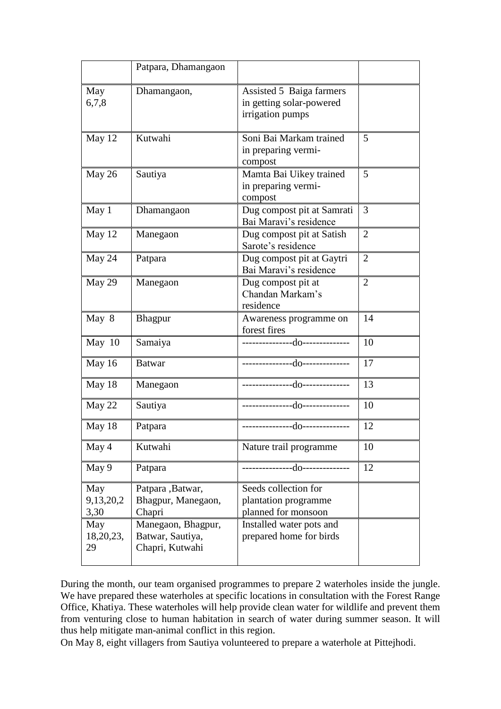|                          | Patpara, Dhamangaon                                       |                                                                          |                |  |
|--------------------------|-----------------------------------------------------------|--------------------------------------------------------------------------|----------------|--|
| May<br>6,7,8             | Dhamangaon,                                               | Assisted 5 Baiga farmers<br>in getting solar-powered<br>irrigation pumps |                |  |
| May 12                   | Kutwahi                                                   | Soni Bai Markam trained<br>in preparing vermi-<br>compost                | 5              |  |
| May 26                   | Sautiya                                                   | Mamta Bai Uikey trained<br>in preparing vermi-<br>compost                | 5              |  |
| May 1                    | Dhamangaon                                                | Dug compost pit at Samrati<br>Bai Maravi's residence                     | 3              |  |
| May 12                   | Manegaon                                                  | Dug compost pit at Satish<br>Sarote's residence                          | $\overline{2}$ |  |
| May 24                   | Patpara                                                   | Dug compost pit at Gaytri<br>Bai Maravi's residence                      | $\overline{2}$ |  |
| May 29                   | Manegaon                                                  | Dug compost pit at<br>Chandan Markam's<br>residence                      | $\overline{2}$ |  |
| May 8                    | Bhagpur                                                   | Awareness programme on<br>forest fires                                   |                |  |
| May $10$                 | Samaiya                                                   |                                                                          | 10             |  |
| May 16                   | <b>Batwar</b>                                             |                                                                          | 17             |  |
| May 18                   | Manegaon                                                  |                                                                          | 13             |  |
| May 22                   | Sautiya                                                   |                                                                          | 10             |  |
| May 18                   | Patpara                                                   |                                                                          | 12             |  |
| May 4                    | Kutwahi                                                   | Nature trail programme                                                   | 10             |  |
| May 9                    | Patpara                                                   | ---------------------------------                                        | 12             |  |
| May<br>9,13,20,2<br>3,30 | Patpara, Batwar,<br>Bhagpur, Manegaon,<br>Chapri          | Seeds collection for<br>plantation programme<br>planned for monsoon      |                |  |
| May<br>18,20,23,<br>29   | Manegaon, Bhagpur,<br>Batwar, Sautiya,<br>Chapri, Kutwahi | Installed water pots and<br>prepared home for birds                      |                |  |

During the month, our team organised programmes to prepare 2 waterholes inside the jungle. We have prepared these waterholes at specific locations in consultation with the Forest Range Office, Khatiya. These waterholes will help provide clean water for wildlife and prevent them from venturing close to human habitation in search of water during summer season. It will thus help mitigate man-animal conflict in this region.

On May 8, eight villagers from Sautiya volunteered to prepare a waterhole at Pittejhodi.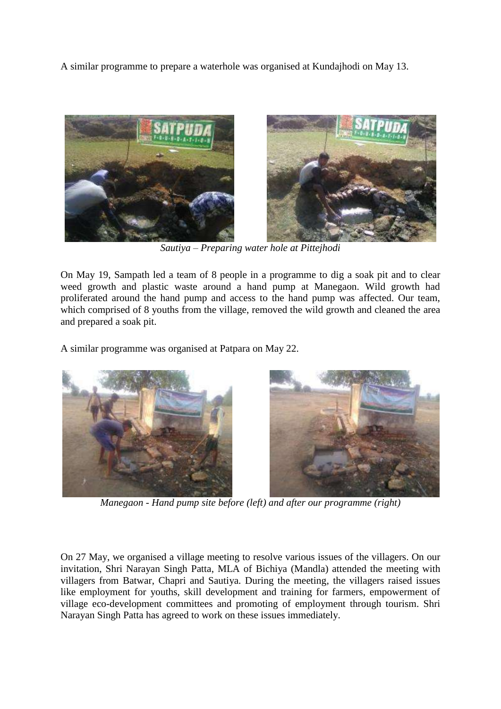A similar programme to prepare a waterhole was organised at Kundajhodi on May 13.



*Sautiya – Preparing water hole at Pittejhodi*

On May 19, Sampath led a team of 8 people in a programme to dig a soak pit and to clear weed growth and plastic waste around a hand pump at Manegaon. Wild growth had proliferated around the hand pump and access to the hand pump was affected. Our team, which comprised of 8 youths from the village, removed the wild growth and cleaned the area and prepared a soak pit.

A similar programme was organised at Patpara on May 22.



*Manegaon - Hand pump site before (left) and after our programme (right)*

On 27 May, we organised a village meeting to resolve various issues of the villagers. On our invitation, Shri Narayan Singh Patta, MLA of Bichiya (Mandla) attended the meeting with villagers from Batwar, Chapri and Sautiya. During the meeting, the villagers raised issues like employment for youths, skill development and training for farmers, empowerment of village eco-development committees and promoting of employment through tourism. Shri Narayan Singh Patta has agreed to work on these issues immediately.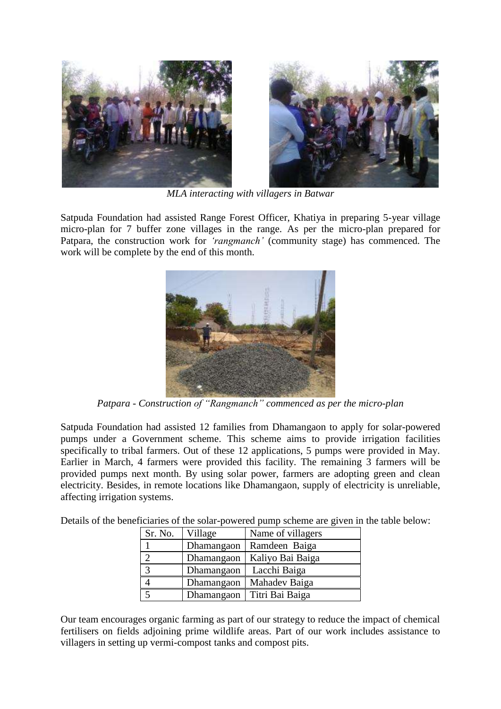

*MLA interacting with villagers in Batwar*

Satpuda Foundation had assisted Range Forest Officer, Khatiya in preparing 5-year village micro-plan for 7 buffer zone villages in the range. As per the micro-plan prepared for Patpara, the construction work for *'rangmanch'* (community stage) has commenced. The work will be complete by the end of this month.



*Patpara - Construction of "Rangmanch" commenced as per the micro-plan*

Satpuda Foundation had assisted 12 families from Dhamangaon to apply for solar-powered pumps under a Government scheme. This scheme aims to provide irrigation facilities specifically to tribal farmers. Out of these 12 applications, 5 pumps were provided in May. Earlier in March, 4 farmers were provided this facility. The remaining 3 farmers will be provided pumps next month. By using solar power, farmers are adopting green and clean electricity. Besides, in remote locations like Dhamangaon, supply of electricity is unreliable, affecting irrigation systems.

Details of the beneficiaries of the solar-powered pump scheme are given in the table below:

| Sr. No. | Village    | Name of villagers |
|---------|------------|-------------------|
|         | Dhamangaon | Ramdeen Baiga     |
|         | Dhamangaon | Kaliyo Bai Baiga  |
|         | Dhamangaon | Lacchi Baiga      |
|         | Dhamangaon | Mahadev Baiga     |
|         | Dhamangaon | Titri Bai Baiga   |

Our team encourages organic farming as part of our strategy to reduce the impact of chemical fertilisers on fields adjoining prime wildlife areas. Part of our work includes assistance to villagers in setting up vermi-compost tanks and compost pits.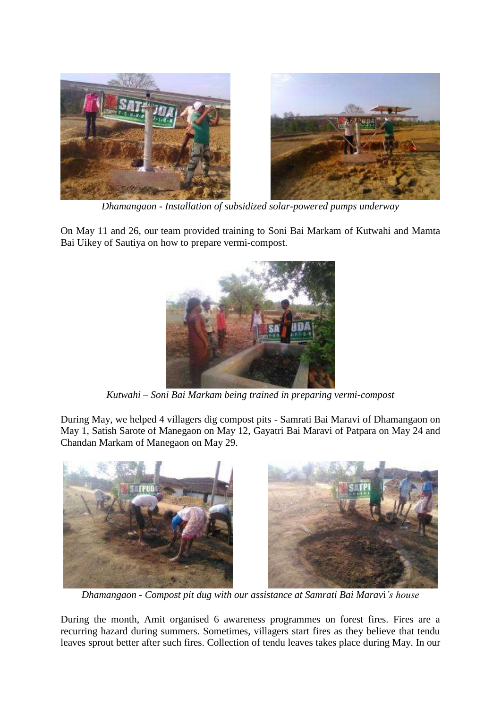

*Dhamangaon - Installation of subsidized solar-powered pumps underway*

On May 11 and 26, our team provided training to Soni Bai Markam of Kutwahi and Mamta Bai Uikey of Sautiya on how to prepare vermi-compost.



*Kutwahi – Soni Bai Markam being trained in preparing vermi-compost*

During May, we helped 4 villagers dig compost pits - Samrati Bai Maravi of Dhamangaon on May 1, Satish Sarote of Manegaon on May 12, Gayatri Bai Maravi of Patpara on May 24 and Chandan Markam of Manegaon on May 29.



*Dhamangaon - Compost pit dug with our assistance at Samrati Bai Marav*i*'s house*

During the month, Amit organised 6 awareness programmes on forest fires. Fires are a recurring hazard during summers. Sometimes, villagers start fires as they believe that tendu leaves sprout better after such fires. Collection of tendu leaves takes place during May. In our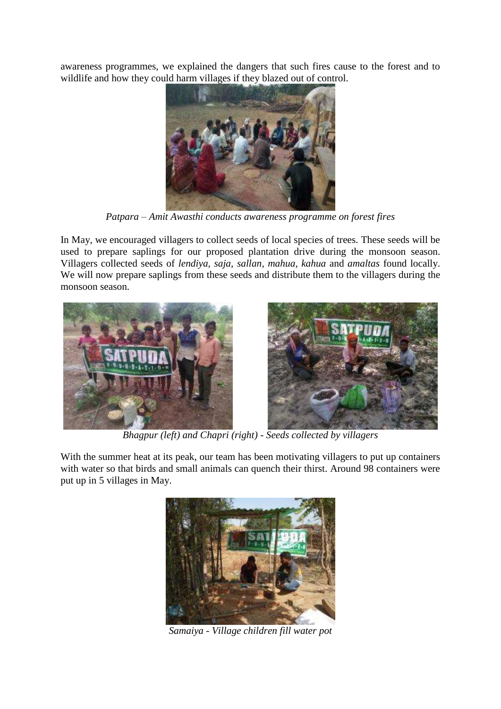awareness programmes, we explained the dangers that such fires cause to the forest and to wildlife and how they could harm villages if they blazed out of control.



*Patpara – Amit Awasthi conducts awareness programme on forest fires*

In May, we encouraged villagers to collect seeds of local species of trees. These seeds will be used to prepare saplings for our proposed plantation drive during the monsoon season. Villagers collected seeds of *lendiya, saja, sallan, mahua, kahua* and *amaltas* found locally. We will now prepare saplings from these seeds and distribute them to the villagers during the monsoon season.



*Bhagpur (left) and Chapri (right) - Seeds collected by villagers*

With the summer heat at its peak, our team has been motivating villagers to put up containers with water so that birds and small animals can quench their thirst. Around 98 containers were put up in 5 villages in May.



*Samaiya - Village children fill water pot*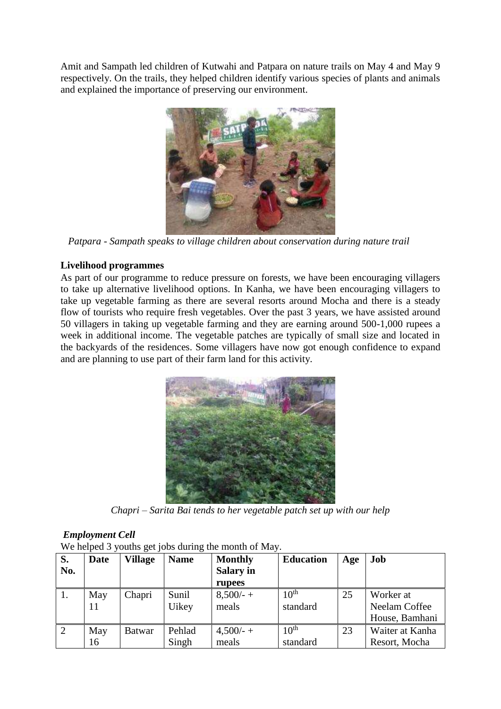Amit and Sampath led children of Kutwahi and Patpara on nature trails on May 4 and May 9 respectively. On the trails, they helped children identify various species of plants and animals and explained the importance of preserving our environment.



 *Patpara - Sampath speaks to village children about conservation during nature trail*

# **Livelihood programmes**

As part of our programme to reduce pressure on forests, we have been encouraging villagers to take up alternative livelihood options. In Kanha, we have been encouraging villagers to take up vegetable farming as there are several resorts around Mocha and there is a steady flow of tourists who require fresh vegetables. Over the past 3 years, we have assisted around 50 villagers in taking up vegetable farming and they are earning around 500-1,000 rupees a week in additional income. The vegetable patches are typically of small size and located in the backyards of the residences. Some villagers have now got enough confidence to expand and are planning to use part of their farm land for this activity.



*Chapri – Sarita Bai tends to her vegetable patch set up with our help*

# *Employment Cell*

| We helped 3 youths get jobs during the month of May. |  |  |  |
|------------------------------------------------------|--|--|--|
|                                                      |  |  |  |

| S.<br>No. | <b>Date</b> | <b>Village</b> | <b>Name</b> | <b>Monthly</b><br><b>Salary in</b> | <b>Education</b> | Age | Job             |
|-----------|-------------|----------------|-------------|------------------------------------|------------------|-----|-----------------|
|           |             |                |             | rupees                             |                  |     |                 |
| 1.        | May         | Chapri         | Sunil       | $8,500/ - +$                       | 10 <sup>th</sup> | 25  | Worker at       |
|           | 11          |                | Uikey       | meals                              | standard         |     | Neelam Coffee   |
|           |             |                |             |                                    |                  |     | House, Bamhani  |
| 2         | May         | <b>Batwar</b>  | Pehlad      | $4,500/ - +$                       | 10 <sup>th</sup> | 23  | Waiter at Kanha |
|           | 16          |                | Singh       | meals                              | standard         |     | Resort, Mocha   |